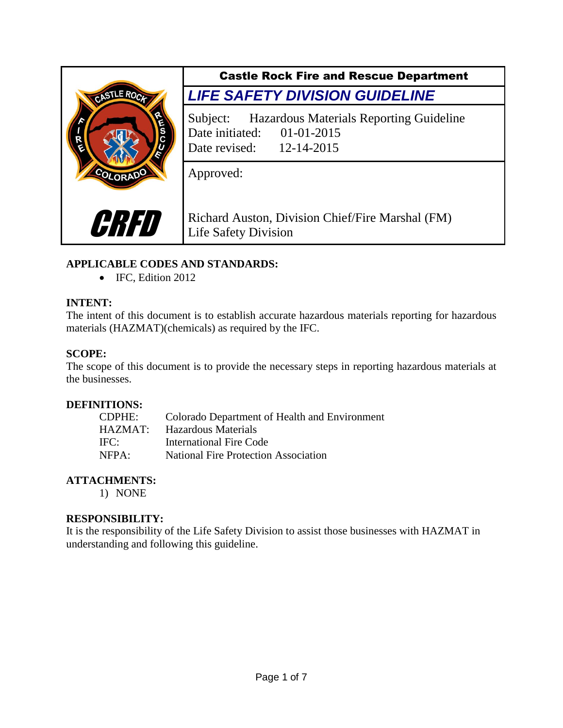

Castle Rock Fire and Rescue Department *LIFE SAFETY DIVISION GUIDELINE*

Subject: Hazardous Materials Reporting Guideline Date initiated: 01-01-2015 Date revised: 12-14-2015

Approved:

Richard Auston, Division Chief/Fire Marshal (FM) Life Safety Division

# **APPLICABLE CODES AND STANDARDS:**

• IFC, Edition 2012

# **INTENT:**

The intent of this document is to establish accurate hazardous materials reporting for hazardous materials (HAZMAT)(chemicals) as required by the IFC.

## **SCOPE:**

The scope of this document is to provide the necessary steps in reporting hazardous materials at the businesses.

## **DEFINITIONS:**

| <b>CDPHE:</b> | Colorado Department of Health and Environment |
|---------------|-----------------------------------------------|
| HAZMAT:       | Hazardous Materials                           |
| IFC:          | International Fire Code                       |
| NFPA:         | <b>National Fire Protection Association</b>   |

## **ATTACHMENTS:**

1) NONE

## **RESPONSIBILITY:**

It is the responsibility of the Life Safety Division to assist those businesses with HAZMAT in understanding and following this guideline.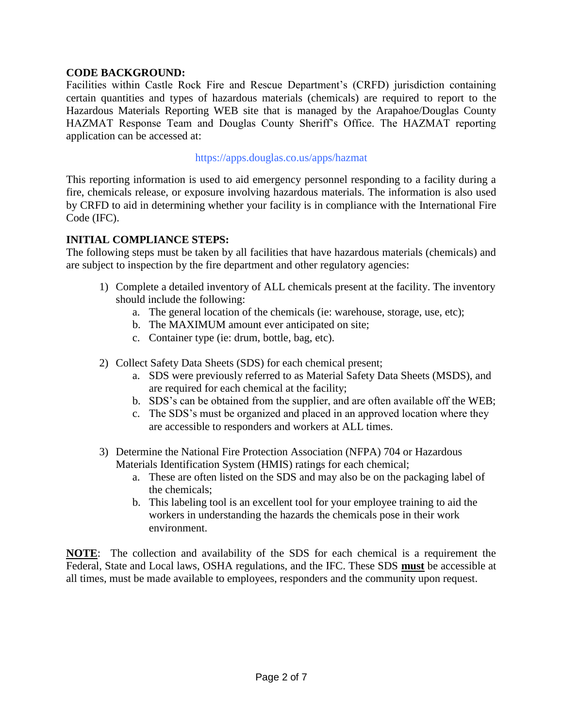## **CODE BACKGROUND:**

Facilities within Castle Rock Fire and Rescue Department's (CRFD) jurisdiction containing certain quantities and types of hazardous materials (chemicals) are required to report to the Hazardous Materials Reporting WEB site that is managed by the Arapahoe/Douglas County HAZMAT Response Team and Douglas County Sheriff's Office. The HAZMAT reporting application can be accessed at:

#### https://apps.douglas.co.us/apps/hazmat

This reporting information is used to aid emergency personnel responding to a facility during a fire, chemicals release, or exposure involving hazardous materials. The information is also used by CRFD to aid in determining whether your facility is in compliance with the International Fire Code (IFC).

#### **INITIAL COMPLIANCE STEPS:**

The following steps must be taken by all facilities that have hazardous materials (chemicals) and are subject to inspection by the fire department and other regulatory agencies:

- 1) Complete a detailed inventory of ALL chemicals present at the facility. The inventory should include the following:
	- a. The general location of the chemicals (ie: warehouse, storage, use, etc);
	- b. The MAXIMUM amount ever anticipated on site;
	- c. Container type (ie: drum, bottle, bag, etc).
- 2) Collect Safety Data Sheets (SDS) for each chemical present;
	- a. SDS were previously referred to as Material Safety Data Sheets (MSDS), and are required for each chemical at the facility;
	- b. SDS's can be obtained from the supplier, and are often available off the WEB;
	- c. The SDS's must be organized and placed in an approved location where they are accessible to responders and workers at ALL times.
- 3) Determine the National Fire Protection Association (NFPA) 704 or Hazardous Materials Identification System (HMIS) ratings for each chemical;
	- a. These are often listed on the SDS and may also be on the packaging label of the chemicals;
	- b. This labeling tool is an excellent tool for your employee training to aid the workers in understanding the hazards the chemicals pose in their work environment.

**NOTE**: The collection and availability of the SDS for each chemical is a requirement the Federal, State and Local laws, OSHA regulations, and the IFC. These SDS **must** be accessible at all times, must be made available to employees, responders and the community upon request.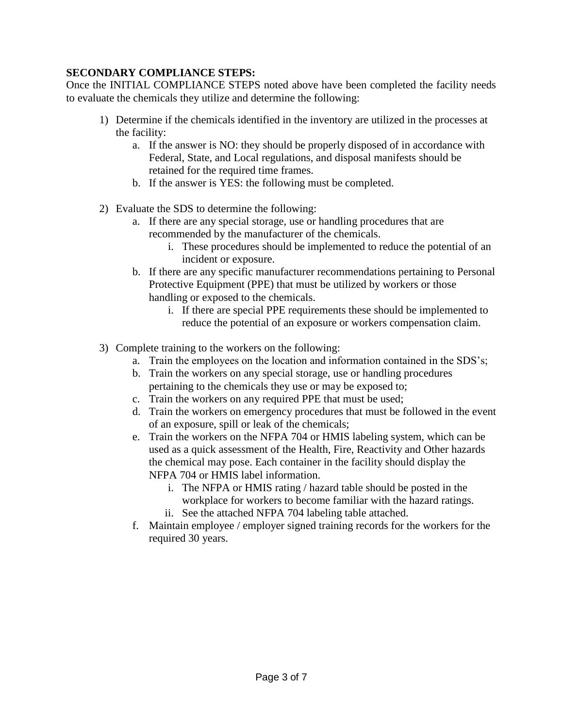# **SECONDARY COMPLIANCE STEPS:**

Once the INITIAL COMPLIANCE STEPS noted above have been completed the facility needs to evaluate the chemicals they utilize and determine the following:

- 1) Determine if the chemicals identified in the inventory are utilized in the processes at the facility:
	- a. If the answer is NO: they should be properly disposed of in accordance with Federal, State, and Local regulations, and disposal manifests should be retained for the required time frames.
	- b. If the answer is YES: the following must be completed.
- 2) Evaluate the SDS to determine the following:
	- a. If there are any special storage, use or handling procedures that are recommended by the manufacturer of the chemicals.
		- i. These procedures should be implemented to reduce the potential of an incident or exposure.
	- b. If there are any specific manufacturer recommendations pertaining to Personal Protective Equipment (PPE) that must be utilized by workers or those handling or exposed to the chemicals.
		- i. If there are special PPE requirements these should be implemented to reduce the potential of an exposure or workers compensation claim.
- 3) Complete training to the workers on the following:
	- a. Train the employees on the location and information contained in the SDS's;
	- b. Train the workers on any special storage, use or handling procedures pertaining to the chemicals they use or may be exposed to;
	- c. Train the workers on any required PPE that must be used;
	- d. Train the workers on emergency procedures that must be followed in the event of an exposure, spill or leak of the chemicals;
	- e. Train the workers on the NFPA 704 or HMIS labeling system, which can be used as a quick assessment of the Health, Fire, Reactivity and Other hazards the chemical may pose. Each container in the facility should display the NFPA 704 or HMIS label information.
		- i. The NFPA or HMIS rating / hazard table should be posted in the workplace for workers to become familiar with the hazard ratings.
		- ii. See the attached NFPA 704 labeling table attached.
	- f. Maintain employee / employer signed training records for the workers for the required 30 years.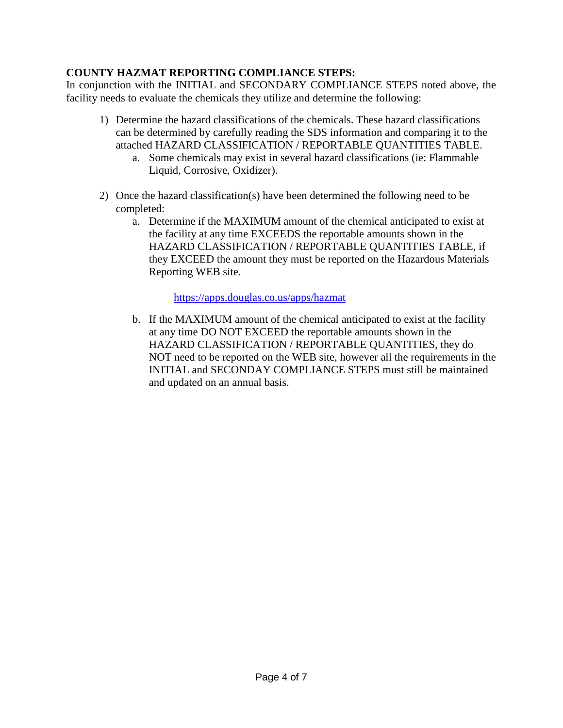# **COUNTY HAZMAT REPORTING COMPLIANCE STEPS:**

In conjunction with the INITIAL and SECONDARY COMPLIANCE STEPS noted above, the facility needs to evaluate the chemicals they utilize and determine the following:

- 1) Determine the hazard classifications of the chemicals. These hazard classifications can be determined by carefully reading the SDS information and comparing it to the attached HAZARD CLASSIFICATION / REPORTABLE QUANTITIES TABLE.
	- a. Some chemicals may exist in several hazard classifications (ie: Flammable Liquid, Corrosive, Oxidizer).
- 2) Once the hazard classification(s) have been determined the following need to be completed:
	- a. Determine if the MAXIMUM amount of the chemical anticipated to exist at the facility at any time EXCEEDS the reportable amounts shown in the HAZARD CLASSIFICATION / REPORTABLE QUANTITIES TABLE, if they EXCEED the amount they must be reported on the Hazardous Materials Reporting WEB site.

<https://apps.douglas.co.us/apps/hazmat>

b. If the MAXIMUM amount of the chemical anticipated to exist at the facility at any time DO NOT EXCEED the reportable amounts shown in the HAZARD CLASSIFICATION / REPORTABLE QUANTITIES, they do NOT need to be reported on the WEB site, however all the requirements in the INITIAL and SECONDAY COMPLIANCE STEPS must still be maintained and updated on an annual basis.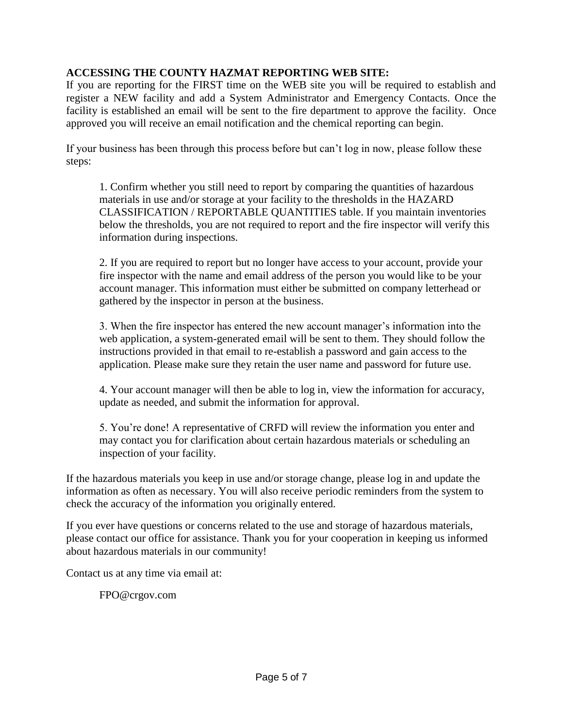## **ACCESSING THE COUNTY HAZMAT REPORTING WEB SITE:**

If you are reporting for the FIRST time on the WEB site you will be required to establish and register a NEW facility and add a System Administrator and Emergency Contacts. Once the facility is established an email will be sent to the fire department to approve the facility. Once approved you will receive an email notification and the chemical reporting can begin.

If your business has been through this process before but can't log in now, please follow these steps:

1. Confirm whether you still need to report by comparing the quantities of hazardous materials in use and/or storage at your facility to the thresholds in the HAZARD CLASSIFICATION / REPORTABLE QUANTITIES table. If you maintain inventories below the thresholds, you are not required to report and the fire inspector will verify this information during inspections.

2. If you are required to report but no longer have access to your account, provide your fire inspector with the name and email address of the person you would like to be your account manager. This information must either be submitted on company letterhead or gathered by the inspector in person at the business.

3. When the fire inspector has entered the new account manager's information into the web application, a system-generated email will be sent to them. They should follow the instructions provided in that email to re-establish a password and gain access to the application. Please make sure they retain the user name and password for future use.

4. Your account manager will then be able to log in, view the information for accuracy, update as needed, and submit the information for approval.

5. You're done! A representative of CRFD will review the information you enter and may contact you for clarification about certain hazardous materials or scheduling an inspection of your facility.

If the hazardous materials you keep in use and/or storage change, please log in and update the information as often as necessary. You will also receive periodic reminders from the system to check the accuracy of the information you originally entered.

If you ever have questions or concerns related to the use and storage of hazardous materials, please contact our office for assistance. Thank you for your cooperation in keeping us informed about hazardous materials in our community!

Contact us at any time via email at:

FPO@crgov.com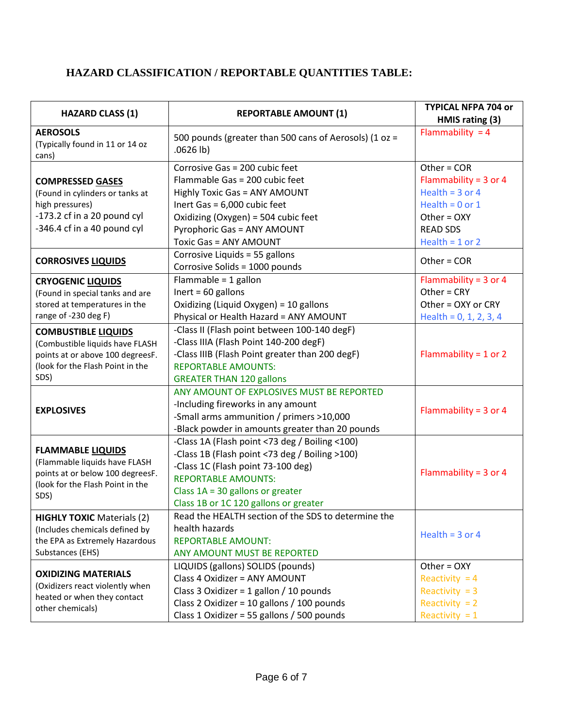# **HAZARD CLASSIFICATION / REPORTABLE QUANTITIES TABLE:**

| <b>HAZARD CLASS (1)</b>                                                                                                                       | <b>REPORTABLE AMOUNT (1)</b>                                                                                                                                                                                                                        | <b>TYPICAL NFPA 704 or</b><br>HMIS rating (3)                                                                          |
|-----------------------------------------------------------------------------------------------------------------------------------------------|-----------------------------------------------------------------------------------------------------------------------------------------------------------------------------------------------------------------------------------------------------|------------------------------------------------------------------------------------------------------------------------|
| <b>AEROSOLS</b><br>(Typically found in 11 or 14 oz<br>cans)                                                                                   | 500 pounds (greater than 500 cans of Aerosols) (1 oz =<br>$.0626$ lb)                                                                                                                                                                               | Flammability = $4$                                                                                                     |
| <b>COMPRESSED GASES</b><br>(Found in cylinders or tanks at<br>high pressures)<br>-173.2 cf in a 20 pound cyl<br>-346.4 cf in a 40 pound cyl   | Corrosive Gas = 200 cubic feet<br>Flammable Gas = 200 cubic feet<br><b>Highly Toxic Gas = ANY AMOUNT</b><br>Inert Gas = 6,000 cubic feet<br>Oxidizing (Oxygen) = 504 cubic feet                                                                     | Other = $COR$<br>Flammability = $3$ or 4<br>Health = $3$ or 4<br>Health = $0$ or 1<br>Other = $OXY$<br><b>READ SDS</b> |
| <b>CORROSIVES LIQUIDS</b>                                                                                                                     | <b>Pyrophoric Gas = ANY AMOUNT</b><br>Toxic Gas = ANY AMOUNT<br>Corrosive Liquids = 55 gallons<br>Corrosive Solids = 1000 pounds                                                                                                                    | Health = $1$ or $2$<br>Other = $COR$                                                                                   |
| <b>CRYOGENIC LIQUIDS</b><br>(Found in special tanks and are<br>stored at temperatures in the<br>range of -230 deg F)                          | Flammable = $1$ gallon<br>Inert = $60$ gallons<br>Oxidizing (Liquid Oxygen) = 10 gallons<br>Physical or Health Hazard = ANY AMOUNT                                                                                                                  | Flammability = $3$ or 4<br>Other = CRY<br>Other = OXY or CRY<br>Health = $0, 1, 2, 3, 4$                               |
| <b>COMBUSTIBLE LIQUIDS</b><br>(Combustible liquids have FLASH<br>points at or above 100 degreesF.<br>(look for the Flash Point in the<br>SDS) | -Class II (Flash point between 100-140 degF)<br>-Class IIIA (Flash Point 140-200 degF)<br>-Class IIIB (Flash Point greater than 200 degF)<br><b>REPORTABLE AMOUNTS:</b><br><b>GREATER THAN 120 gallons</b>                                          | Flammability = $1$ or $2$                                                                                              |
| <b>EXPLOSIVES</b>                                                                                                                             | ANY AMOUNT OF EXPLOSIVES MUST BE REPORTED<br>-Including fireworks in any amount<br>-Small arms ammunition / primers >10,000<br>-Black powder in amounts greater than 20 pounds                                                                      | Flammability = $3$ or 4                                                                                                |
| <b>FLAMMABLE LIQUIDS</b><br>(Flammable liquids have FLASH<br>points at or below 100 degreesF.<br>(look for the Flash Point in the<br>SDS)     | -Class 1A (Flash point <73 deg / Boiling <100)<br>-Class 1B (Flash point <73 deg / Boiling >100)<br>-Class 1C (Flash point 73-100 deg)<br><b>REPORTABLE AMOUNTS:</b><br>Class $1A = 30$ gallons or greater<br>Class 1B or 1C 120 gallons or greater | Flammability = $3$ or 4                                                                                                |
| <b>HIGHLY TOXIC Materials (2)</b><br>(Includes chemicals defined by<br>the EPA as Extremely Hazardous<br>Substances (EHS)                     | Read the HEALTH section of the SDS to determine the<br>health hazards<br><b>REPORTABLE AMOUNT:</b><br>ANY AMOUNT MUST BE REPORTED                                                                                                                   | Health = $3$ or 4                                                                                                      |
| <b>OXIDIZING MATERIALS</b><br>(Oxidizers react violently when<br>heated or when they contact<br>other chemicals)                              | LIQUIDS (gallons) SOLIDS (pounds)<br>Class 4 Oxidizer = ANY AMOUNT<br>Class 3 Oxidizer = 1 gallon / 10 pounds<br>Class 2 Oxidizer = 10 gallons / 100 pounds<br>Class 1 Oxidizer = 55 gallons / 500 pounds                                           | Other = $OXY$<br>Reactivity = $4$<br>Reactivity $= 3$<br>Reactivity $= 2$<br>Reactivity = $1$                          |